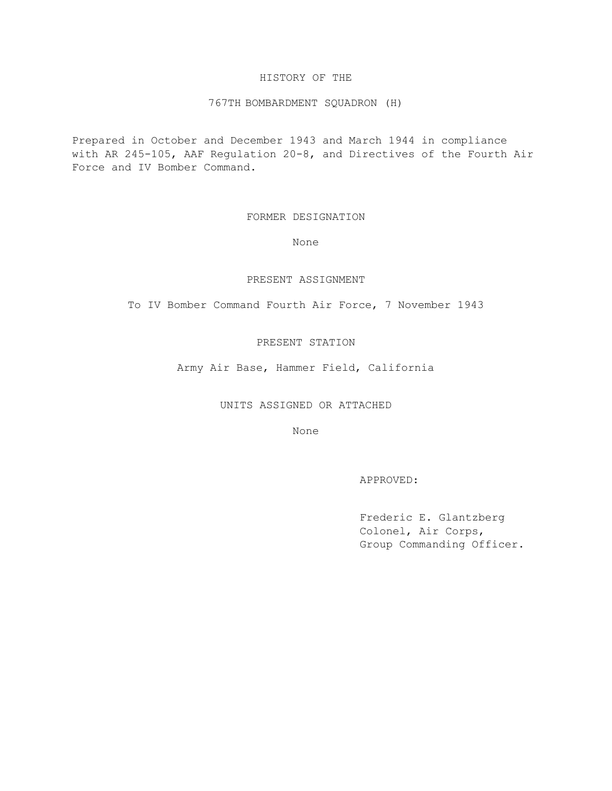### HISTORY OF THE

767TH BOMBARDMENT SQUADRON (H)

Prepared in October and December 1943 and March 1944 in compliance with AR 245-105, AAF Regulation 20-8, and Directives of the Fourth Air Force and IV Bomber Command.

FORMER DESIGNATION

None

## PRESENT ASSIGNMENT

To IV Bomber Command Fourth Air Force, 7 November 1943

## PRESENT STATION

Army Air Base, Hammer Field, California

UNITS ASSIGNED OR ATTACHED

None

APPROVED:

Frederic E. Glantzberg Colonel, Air Corps, Group Commanding Officer.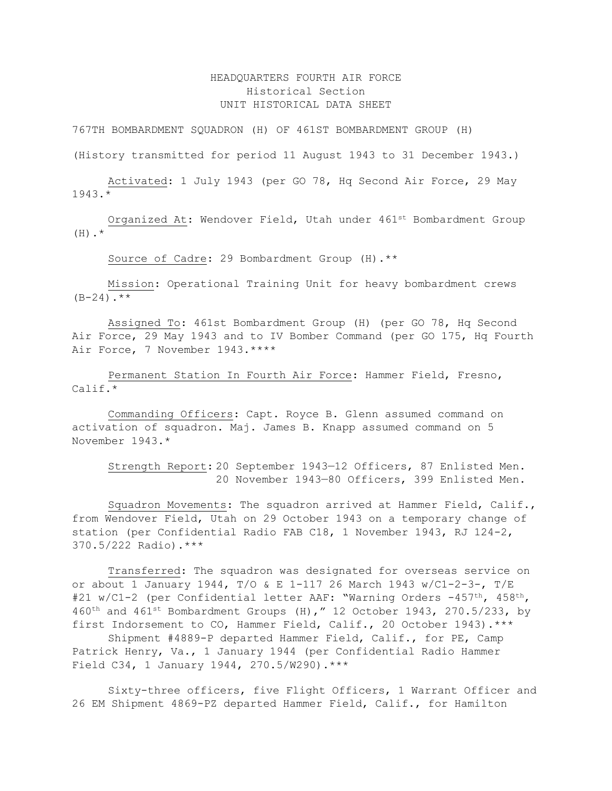# HEADQUARTERS FOURTH AIR FORCE Historical Section UNIT HISTORICAL DATA SHEET

767TH BOMBARDMENT SQUADRON (H) OF 461ST BOMBARDMENT GROUP (H)

(History transmitted for period 11 August 1943 to 31 December 1943.)

Activated: 1 July 1943 (per GO 78, Hq Second Air Force, 29 May 1943.\*

Organized At: Wendover Field, Utah under 461st Bombardment Group  $(H)$ .\*

Source of Cadre: 29 Bombardment Group (H).\*\*

Mission: Operational Training Unit for heavy bombardment crews  $(B-24)$ . \*\*

Assigned To: 461st Bombardment Group (H) (per GO 78, Hq Second Air Force, 29 May 1943 and to IV Bomber Command (per GO 175, Hq Fourth Air Force, 7 November 1943.\*\*\*\*

Permanent Station In Fourth Air Force: Hammer Field, Fresno, Calif.\*

Commanding Officers: Capt. Royce B. Glenn assumed command on activation of squadron. Maj. James B. Knapp assumed command on 5 November 1943.\*

Strength Report: 20 September 1943—12 Officers, 87 Enlisted Men. 20 November 1943—80 Officers, 399 Enlisted Men.

Squadron Movements: The squadron arrived at Hammer Field, Calif., from Wendover Field, Utah on 29 October 1943 on a temporary change of station (per Confidential Radio FAB C18, 1 November 1943, RJ 124-2, 370.5/222 Radio).\*\*\*

Transferred: The squadron was designated for overseas service on or about 1 January 1944, T/O & E 1-117 26 March 1943 w/C1-2-3-, T/E #21 w/C1-2 (per Confidential letter AAF: "Warning Orders  $-457^{\text{th}}$ ,  $458^{\text{th}}$ , 460<sup>th</sup> and 461<sup>st</sup> Bombardment Groups (H)," 12 October 1943, 270.5/233, by first Indorsement to CO, Hammer Field, Calif., 20 October 1943).\*\*\*

Shipment #4889-P departed Hammer Field, Calif., for PE, Camp Patrick Henry, Va., 1 January 1944 (per Confidential Radio Hammer Field C34, 1 January 1944, 270.5/W290).\*\*\*

Sixty-three officers, five Flight Officers, 1 Warrant Officer and 26 EM Shipment 4869-PZ departed Hammer Field, Calif., for Hamilton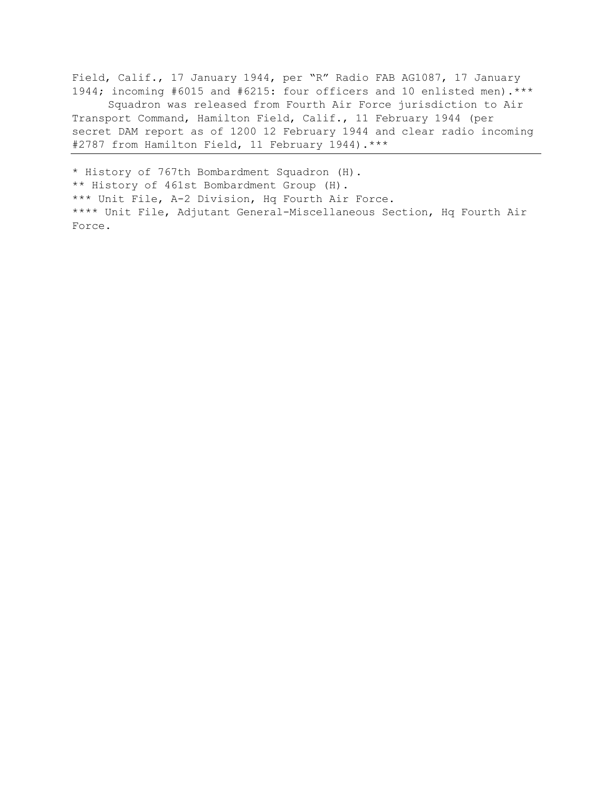Field, Calif., 17 January 1944, per "R" Radio FAB AG1087, 17 January 1944; incoming #6015 and #6215: four officers and 10 enlisted men).\*\*\* Squadron was released from Fourth Air Force jurisdiction to Air Transport Command, Hamilton Field, Calif., 11 February 1944 (per secret DAM report as of 1200 12 February 1944 and clear radio incoming #2787 from Hamilton Field, 11 February 1944). \*\*\*

\* History of 767th Bombardment Squadron (H). \*\* History of 461st Bombardment Group (H). \*\*\* Unit File, A-2 Division, Hq Fourth Air Force. \*\*\*\* Unit File, Adjutant General-Miscellaneous Section, Hq Fourth Air Force.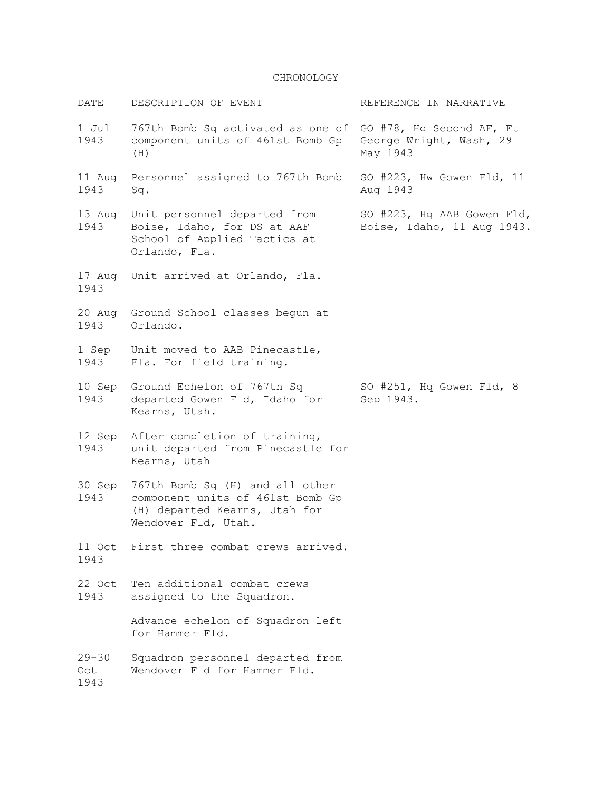CHRONOLOGY

| DATE                     | DESCRIPTION OF EVENT                                                                                                        | REFERENCE IN NARRATIVE                                          |
|--------------------------|-----------------------------------------------------------------------------------------------------------------------------|-----------------------------------------------------------------|
| 1 Jul<br>1943            | 767th Bomb Sq activated as one of<br>component units of 461st Bomb Gp<br>(H)                                                | GO #78, Hq Second AF, Ft<br>George Wright, Wash, 29<br>May 1943 |
| 11 Aug<br>1943           | Personnel assigned to 767th Bomb<br>Sq.                                                                                     | SO #223, Hw Gowen Fld, 11<br>Aug 1943                           |
| 13 Aug<br>1943           | Unit personnel departed from<br>Boise, Idaho, for DS at AAF<br>School of Applied Tactics at<br>Orlando, Fla.                | SO #223, Hq AAB Gowen Fld,<br>Boise, Idaho, 11 Aug 1943.        |
| 17 Aug<br>1943           | Unit arrived at Orlando, Fla.                                                                                               |                                                                 |
| 20 Aug<br>1943           | Ground School classes begun at<br>Orlando.                                                                                  |                                                                 |
| 1 Sep<br>1943            | Unit moved to AAB Pinecastle,<br>Fla. For field training.                                                                   |                                                                 |
| 1943                     | 10 Sep Ground Echelon of 767th Sq<br>departed Gowen Fld, Idaho for<br>Kearns, Utah.                                         | SO #251, Hq Gowen Fld, 8<br>Sep 1943.                           |
| 12 Sep<br>1943           | After completion of training,<br>unit departed from Pinecastle for<br>Kearns, Utah                                          |                                                                 |
| 30 Sep<br>1943           | 767th Bomb Sq (H) and all other<br>component units of 461st Bomb Gp<br>(H) departed Kearns, Utah for<br>Wendover Fld, Utah. |                                                                 |
| 11 Oct<br>1943           | First three combat crews arrived.                                                                                           |                                                                 |
| 22 Oct<br>1943           | Ten additional combat crews<br>assigned to the Squadron.                                                                    |                                                                 |
|                          | Advance echelon of Squadron left<br>for Hammer Fld.                                                                         |                                                                 |
| $29 - 30$<br>Oct<br>1943 | Squadron personnel departed from<br>Wendover Fld for Hammer Fld.                                                            |                                                                 |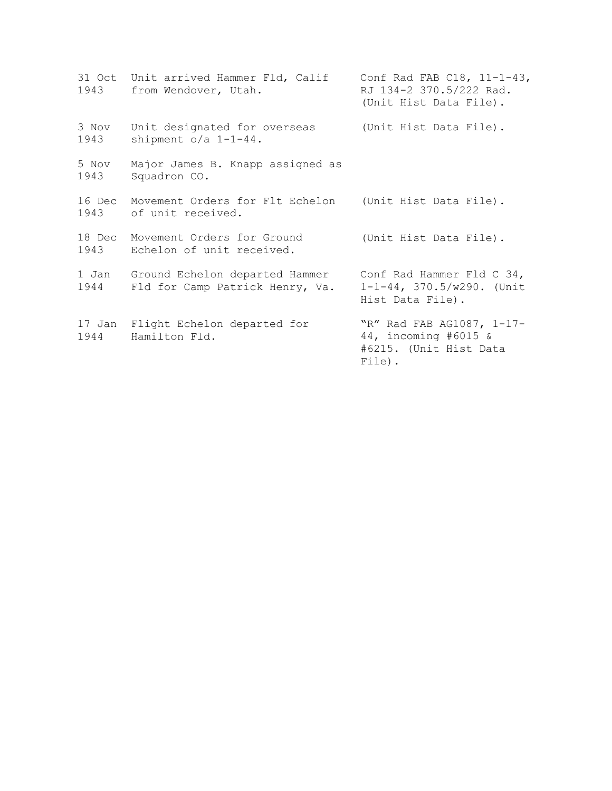| 1943           | 31 Oct Unit arrived Hammer Fld, Calif<br>from Wendover, Utah.     | Conf Rad FAB C18, 11-1-43,<br>RJ 134-2 370.5/222 Rad.<br>(Unit Hist Data File).       |
|----------------|-------------------------------------------------------------------|---------------------------------------------------------------------------------------|
| 3 Nov<br>1943  | Unit designated for overseas<br>shipment $o/a$ 1-1-44.            | (Unit Hist Data File).                                                                |
| 5 Nov<br>1943  | Major James B. Knapp assigned as<br>Squadron CO.                  |                                                                                       |
| 16 Dec<br>1943 | Movement Orders for Flt Echelon<br>of unit received.              | (Unit Hist Data File).                                                                |
| 18 Dec<br>1943 | Movement Orders for Ground<br>Echelon of unit received.           | (Unit Hist Data File).                                                                |
| 1 Jan<br>1944  | Ground Echelon departed Hammer<br>Fld for Camp Patrick Henry, Va. | Conf Rad Hammer Fld C 34,<br>$1 - 1 - 44$ , 370.5/w290. (Unit<br>Hist Data File).     |
|                | 17 Jan Flight Echelon departed for<br>1944 Hamilton Fld.          | "R" Rad FAB AG1087, 1-17-<br>44, incoming #6015 &<br>#6215. (Unit Hist Data<br>File). |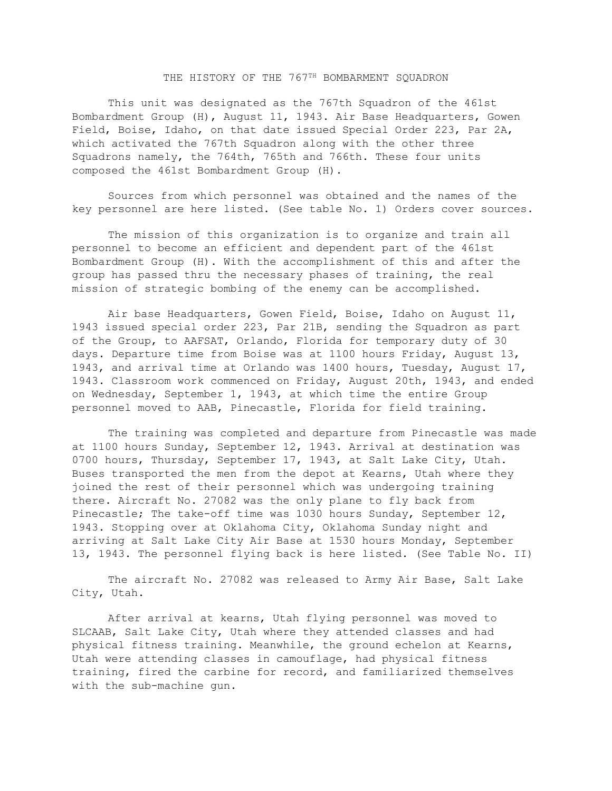# THE HISTORY OF THE 767<sup>TH</sup> BOMBARMENT SQUADRON

This unit was designated as the 767th Squadron of the 461st Bombardment Group (H), August 11, 1943. Air Base Headquarters, Gowen Field, Boise, Idaho, on that date issued Special Order 223, Par 2A, which activated the 767th Squadron along with the other three Squadrons namely, the 764th, 765th and 766th. These four units composed the 461st Bombardment Group (H).

Sources from which personnel was obtained and the names of the key personnel are here listed. (See table No. 1) Orders cover sources.

The mission of this organization is to organize and train all personnel to become an efficient and dependent part of the 461st Bombardment Group (H). With the accomplishment of this and after the group has passed thru the necessary phases of training, the real mission of strategic bombing of the enemy can be accomplished.

Air base Headquarters, Gowen Field, Boise, Idaho on August 11, 1943 issued special order 223, Par 21B, sending the Squadron as part of the Group, to AAFSAT, Orlando, Florida for temporary duty of 30 days. Departure time from Boise was at 1100 hours Friday, August 13, 1943, and arrival time at Orlando was 1400 hours, Tuesday, August 17, 1943. Classroom work commenced on Friday, August 20th, 1943, and ended on Wednesday, September 1, 1943, at which time the entire Group personnel moved to AAB, Pinecastle, Florida for field training.

The training was completed and departure from Pinecastle was made at 1100 hours Sunday, September 12, 1943. Arrival at destination was 0700 hours, Thursday, September 17, 1943, at Salt Lake City, Utah. Buses transported the men from the depot at Kearns, Utah where they joined the rest of their personnel which was undergoing training there. Aircraft No. 27082 was the only plane to fly back from Pinecastle; The take-off time was 1030 hours Sunday, September 12, 1943. Stopping over at Oklahoma City, Oklahoma Sunday night and arriving at Salt Lake City Air Base at 1530 hours Monday, September 13, 1943. The personnel flying back is here listed. (See Table No. II)

The aircraft No. 27082 was released to Army Air Base, Salt Lake City, Utah.

After arrival at kearns, Utah flying personnel was moved to SLCAAB, Salt Lake City, Utah where they attended classes and had physical fitness training. Meanwhile, the ground echelon at Kearns, Utah were attending classes in camouflage, had physical fitness training, fired the carbine for record, and familiarized themselves with the sub-machine gun.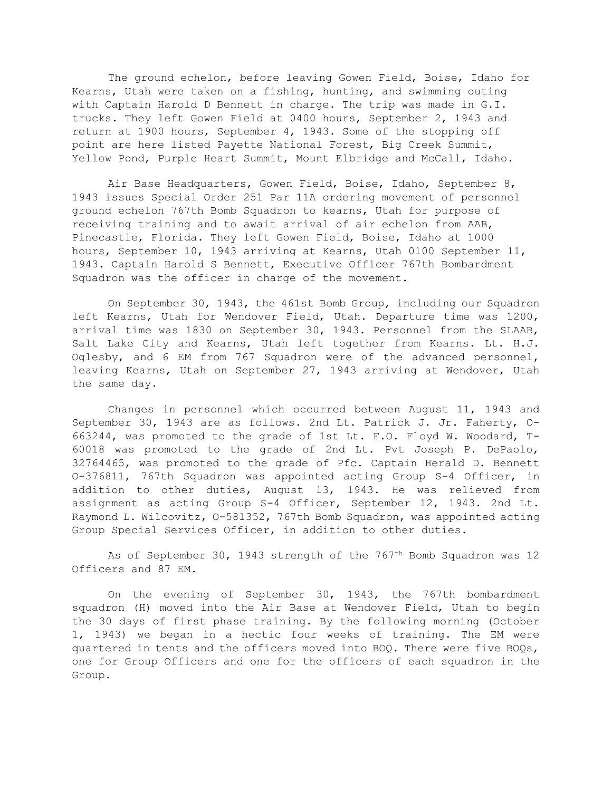The ground echelon, before leaving Gowen Field, Boise, Idaho for Kearns, Utah were taken on a fishing, hunting, and swimming outing with Captain Harold D Bennett in charge. The trip was made in G.I. trucks. They left Gowen Field at 0400 hours, September 2, 1943 and return at 1900 hours, September 4, 1943. Some of the stopping off point are here listed Payette National Forest, Big Creek Summit, Yellow Pond, Purple Heart Summit, Mount Elbridge and McCall, Idaho.

Air Base Headquarters, Gowen Field, Boise, Idaho, September 8, 1943 issues Special Order 251 Par 11A ordering movement of personnel ground echelon 767th Bomb Squadron to kearns, Utah for purpose of receiving training and to await arrival of air echelon from AAB, Pinecastle, Florida. They left Gowen Field, Boise, Idaho at 1000 hours, September 10, 1943 arriving at Kearns, Utah 0100 September 11, 1943. Captain Harold S Bennett, Executive Officer 767th Bombardment Squadron was the officer in charge of the movement.

On September 30, 1943, the 461st Bomb Group, including our Squadron left Kearns, Utah for Wendover Field, Utah. Departure time was 1200, arrival time was 1830 on September 30, 1943. Personnel from the SLAAB, Salt Lake City and Kearns, Utah left together from Kearns. Lt. H.J. Oglesby, and 6 EM from 767 Squadron were of the advanced personnel, leaving Kearns, Utah on September 27, 1943 arriving at Wendover, Utah the same day.

Changes in personnel which occurred between August 11, 1943 and September 30, 1943 are as follows. 2nd Lt. Patrick J. Jr. Faherty, O-663244, was promoted to the grade of 1st Lt. F.O. Floyd W. Woodard, T-60018 was promoted to the grade of 2nd Lt. Pvt Joseph P. DePaolo, 32764465, was promoted to the grade of Pfc. Captain Herald D. Bennett O-376811, 767th Squadron was appointed acting Group S-4 Officer, in addition to other duties, August 13, 1943. He was relieved from assignment as acting Group S-4 Officer, September 12, 1943. 2nd Lt. Raymond L. Wilcovitz, O-581352, 767th Bomb Squadron, was appointed acting Group Special Services Officer, in addition to other duties.

As of September 30, 1943 strength of the 767<sup>th</sup> Bomb Squadron was 12 Officers and 87 EM.

On the evening of September 30, 1943, the 767th bombardment squadron (H) moved into the Air Base at Wendover Field, Utah to begin the 30 days of first phase training. By the following morning (October 1, 1943) we began in a hectic four weeks of training. The EM were quartered in tents and the officers moved into BOQ. There were five BOQs, one for Group Officers and one for the officers of each squadron in the Group.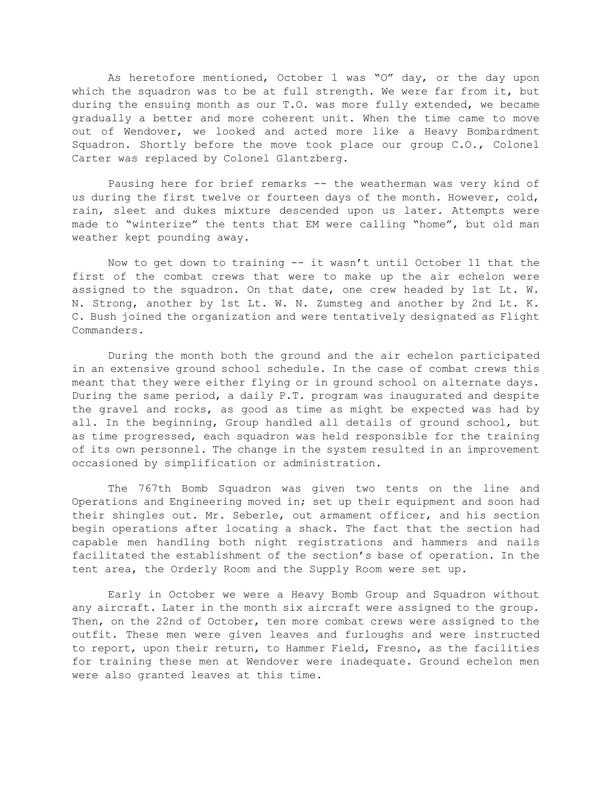As heretofore mentioned, October 1 was "O" day, or the day upon which the squadron was to be at full strength. We were far from it, but during the ensuing month as our T.O. was more fully extended, we became gradually a better and more coherent unit. When the time came to move out of Wendover, we looked and acted more like a Heavy Bombardment Squadron. Shortly before the move took place our group C.O., Colonel Carter was replaced by Colonel Glantzberg.

Pausing here for brief remarks -- the weatherman was very kind of us during the first twelve or fourteen days of the month. However, cold, rain, sleet and dukes mixture descended upon us later. Attempts were made to "winterize" the tents that EM were calling "home", but old man weather kept pounding away.

Now to get down to training -- it wasn't until October 11 that the first of the combat crews that were to make up the air echelon were assigned to the squadron. On that date, one crew headed by 1st Lt. W. N. Strong, another by 1st Lt. W. N. Zumsteg and another by 2nd Lt. K. C. Bush joined the organization and were tentatively designated as Flight Commanders.

During the month both the ground and the air echelon participated in an extensive ground school schedule. In the case of combat crews this meant that they were either flying or in ground school on alternate days. During the same period, a daily P.T. program was inaugurated and despite the gravel and rocks, as good as time as might be expected was had by all. In the beginning, Group handled all details of ground school, but as time progressed, each squadron was held responsible for the training of its own personnel. The change in the system resulted in an improvement occasioned by simplification or administration.

The 767th Bomb Squadron was given two tents on the line and Operations and Engineering moved in; set up their equipment and soon had their shingles out. Mr. Seberle, out armament officer, and his section begin operations after locating a shack. The fact that the section had capable men handling both night registrations and hammers and nails facilitated the establishment of the section's base of operation. In the tent area, the Orderly Room and the Supply Room were set up.

Early in October we were a Heavy Bomb Group and Squadron without any aircraft. Later in the month six aircraft were assigned to the group. Then, on the 22nd of October, ten more combat crews were assigned to the outfit. These men were given leaves and furloughs and were instructed to report, upon their return, to Hammer Field, Fresno, as the facilities for training these men at Wendover were inadequate. Ground echelon men were also granted leaves at this time.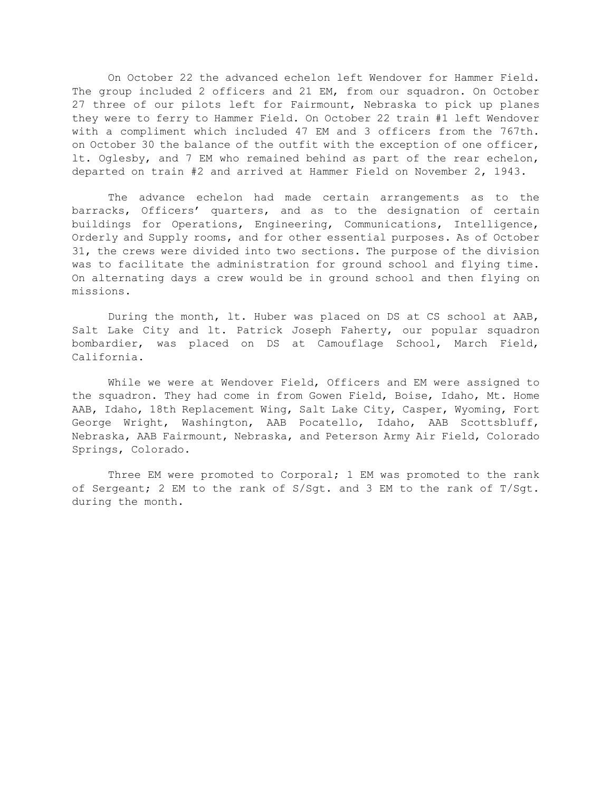On October 22 the advanced echelon left Wendover for Hammer Field. The group included 2 officers and 21 EM, from our squadron. On October 27 three of our pilots left for Fairmount, Nebraska to pick up planes they were to ferry to Hammer Field. On October 22 train #1 left Wendover with a compliment which included 47 EM and 3 officers from the 767th. on October 30 the balance of the outfit with the exception of one officer, lt. Oglesby, and 7 EM who remained behind as part of the rear echelon, departed on train #2 and arrived at Hammer Field on November 2, 1943.

The advance echelon had made certain arrangements as to the barracks, Officers' quarters, and as to the designation of certain buildings for Operations, Engineering, Communications, Intelligence, Orderly and Supply rooms, and for other essential purposes. As of October 31, the crews were divided into two sections. The purpose of the division was to facilitate the administration for ground school and flying time. On alternating days a crew would be in ground school and then flying on missions.

During the month, lt. Huber was placed on DS at CS school at AAB, Salt Lake City and lt. Patrick Joseph Faherty, our popular squadron bombardier, was placed on DS at Camouflage School, March Field, California.

While we were at Wendover Field, Officers and EM were assigned to the squadron. They had come in from Gowen Field, Boise, Idaho, Mt. Home AAB, Idaho, 18th Replacement Wing, Salt Lake City, Casper, Wyoming, Fort George Wright, Washington, AAB Pocatello, Idaho, AAB Scottsbluff, Nebraska, AAB Fairmount, Nebraska, and Peterson Army Air Field, Colorado Springs, Colorado.

Three EM were promoted to Corporal; 1 EM was promoted to the rank of Sergeant; 2 EM to the rank of S/Sgt. and 3 EM to the rank of T/Sgt. during the month.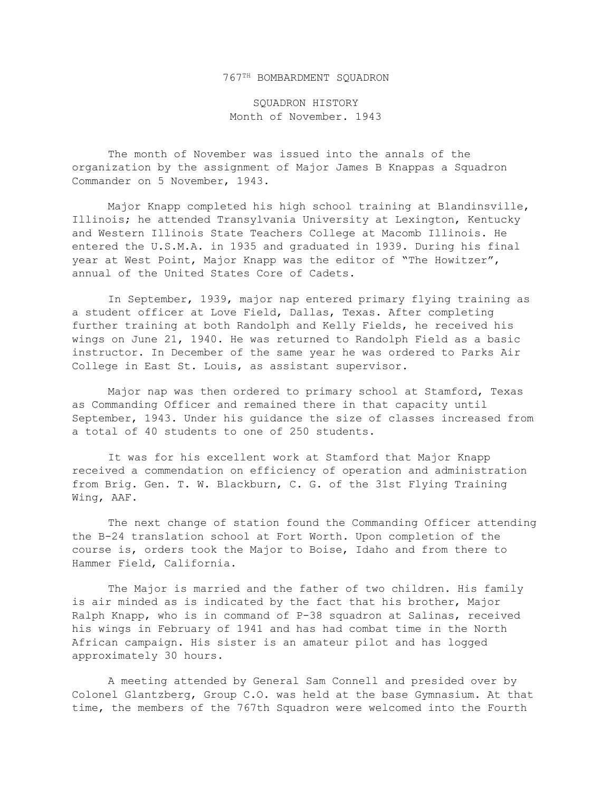#### 767TH BOMBARDMENT SQUADRON

SQUADRON HISTORY Month of November. 1943

The month of November was issued into the annals of the organization by the assignment of Major James B Knappas a Squadron Commander on 5 November, 1943.

Major Knapp completed his high school training at Blandinsville, Illinois; he attended Transylvania University at Lexington, Kentucky and Western Illinois State Teachers College at Macomb Illinois. He entered the U.S.M.A. in 1935 and graduated in 1939. During his final year at West Point, Major Knapp was the editor of "The Howitzer", annual of the United States Core of Cadets.

In September, 1939, major nap entered primary flying training as a student officer at Love Field, Dallas, Texas. After completing further training at both Randolph and Kelly Fields, he received his wings on June 21, 1940. He was returned to Randolph Field as a basic instructor. In December of the same year he was ordered to Parks Air College in East St. Louis, as assistant supervisor.

Major nap was then ordered to primary school at Stamford, Texas as Commanding Officer and remained there in that capacity until September, 1943. Under his guidance the size of classes increased from a total of 40 students to one of 250 students.

It was for his excellent work at Stamford that Major Knapp received a commendation on efficiency of operation and administration from Brig. Gen. T. W. Blackburn, C. G. of the 31st Flying Training Wing, AAF.

The next change of station found the Commanding Officer attending the B-24 translation school at Fort Worth. Upon completion of the course is, orders took the Major to Boise, Idaho and from there to Hammer Field, California.

The Major is married and the father of two children. His family is air minded as is indicated by the fact that his brother, Major Ralph Knapp, who is in command of P-38 squadron at Salinas, received his wings in February of 1941 and has had combat time in the North African campaign. His sister is an amateur pilot and has logged approximately 30 hours.

A meeting attended by General Sam Connell and presided over by Colonel Glantzberg, Group C.O. was held at the base Gymnasium. At that time, the members of the 767th Squadron were welcomed into the Fourth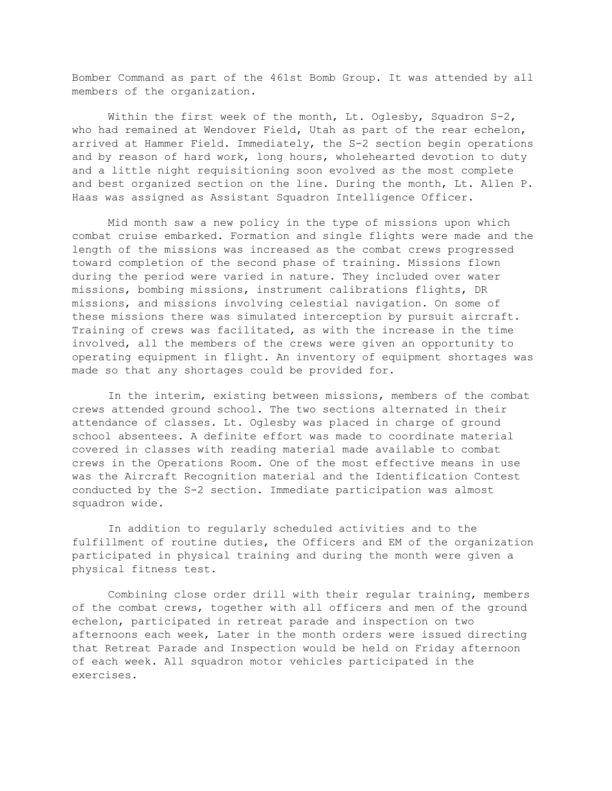Bomber Command as part of the 461st Bomb Group. It was attended by all members of the organization.

Within the first week of the month, Lt. Oglesby, Squadron S-2, who had remained at Wendover Field, Utah as part of the rear echelon, arrived at Hammer Field. Immediately, the S-2 section begin operations and by reason of hard work, long hours, wholehearted devotion to duty and a little night requisitioning soon evolved as the most complete and best organized section on the line. During the month, Lt. Allen P. Haas was assigned as Assistant Squadron Intelligence Officer.

Mid month saw a new policy in the type of missions upon which combat cruise embarked. Formation and single flights were made and the length of the missions was increased as the combat crews progressed toward completion of the second phase of training. Missions flown during the period were varied in nature. They included over water missions, bombing missions, instrument calibrations flights, DR missions, and missions involving celestial navigation. On some of these missions there was simulated interception by pursuit aircraft. Training of crews was facilitated, as with the increase in the time involved, all the members of the crews were given an opportunity to operating equipment in flight. An inventory of equipment shortages was made so that any shortages could be provided for.

In the interim, existing between missions, members of the combat crews attended ground school. The two sections alternated in their attendance of classes. Lt. Oglesby was placed in charge of ground school absentees. A definite effort was made to coordinate material covered in classes with reading material made available to combat crews in the Operations Room. One of the most effective means in use was the Aircraft Recognition material and the Identification Contest conducted by the S-2 section. Immediate participation was almost squadron wide.

In addition to regularly scheduled activities and to the fulfillment of routine duties, the Officers and EM of the organization participated in physical training and during the month were given a physical fitness test.

Combining close order drill with their regular training, members of the combat crews, together with all officers and men of the ground echelon, participated in retreat parade and inspection on two afternoons each week, Later in the month orders were issued directing that Retreat Parade and Inspection would be held on Friday afternoon of each week. All squadron motor vehicles participated in the exercises.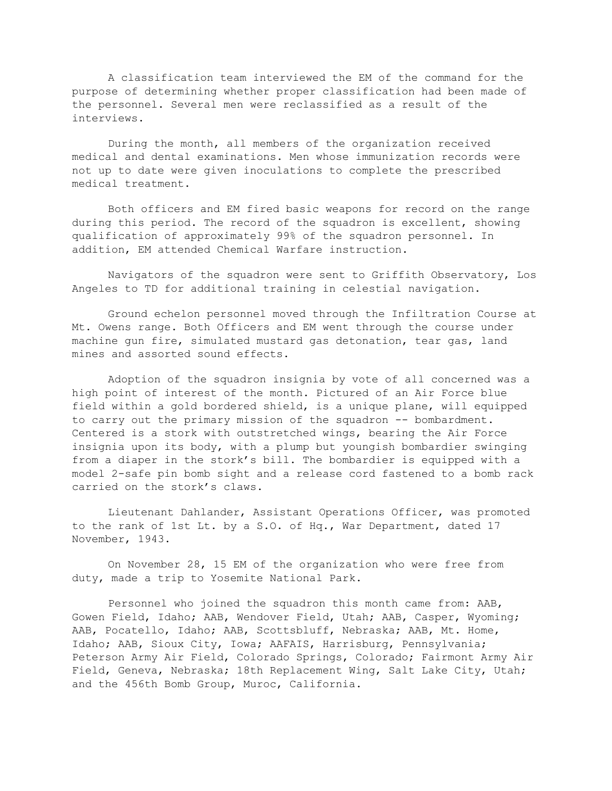A classification team interviewed the EM of the command for the purpose of determining whether proper classification had been made of the personnel. Several men were reclassified as a result of the interviews.

During the month, all members of the organization received medical and dental examinations. Men whose immunization records were not up to date were given inoculations to complete the prescribed medical treatment.

Both officers and EM fired basic weapons for record on the range during this period. The record of the squadron is excellent, showing qualification of approximately 99% of the squadron personnel. In addition, EM attended Chemical Warfare instruction.

Navigators of the squadron were sent to Griffith Observatory, Los Angeles to TD for additional training in celestial navigation.

Ground echelon personnel moved through the Infiltration Course at Mt. Owens range. Both Officers and EM went through the course under machine gun fire, simulated mustard gas detonation, tear gas, land mines and assorted sound effects.

Adoption of the squadron insignia by vote of all concerned was a high point of interest of the month. Pictured of an Air Force blue field within a gold bordered shield, is a unique plane, will equipped to carry out the primary mission of the squadron -- bombardment. Centered is a stork with outstretched wings, bearing the Air Force insignia upon its body, with a plump but youngish bombardier swinging from a diaper in the stork's bill. The bombardier is equipped with a model 2-safe pin bomb sight and a release cord fastened to a bomb rack carried on the stork's claws.

Lieutenant Dahlander, Assistant Operations Officer, was promoted to the rank of 1st Lt. by a S.O. of Hq., War Department, dated 17 November, 1943.

On November 28, 15 EM of the organization who were free from duty, made a trip to Yosemite National Park.

Personnel who joined the squadron this month came from: AAB, Gowen Field, Idaho; AAB, Wendover Field, Utah; AAB, Casper, Wyoming; AAB, Pocatello, Idaho; AAB, Scottsbluff, Nebraska; AAB, Mt. Home, Idaho; AAB, Sioux City, Iowa; AAFAIS, Harrisburg, Pennsylvania; Peterson Army Air Field, Colorado Springs, Colorado; Fairmont Army Air Field, Geneva, Nebraska; 18th Replacement Wing, Salt Lake City, Utah; and the 456th Bomb Group, Muroc, California.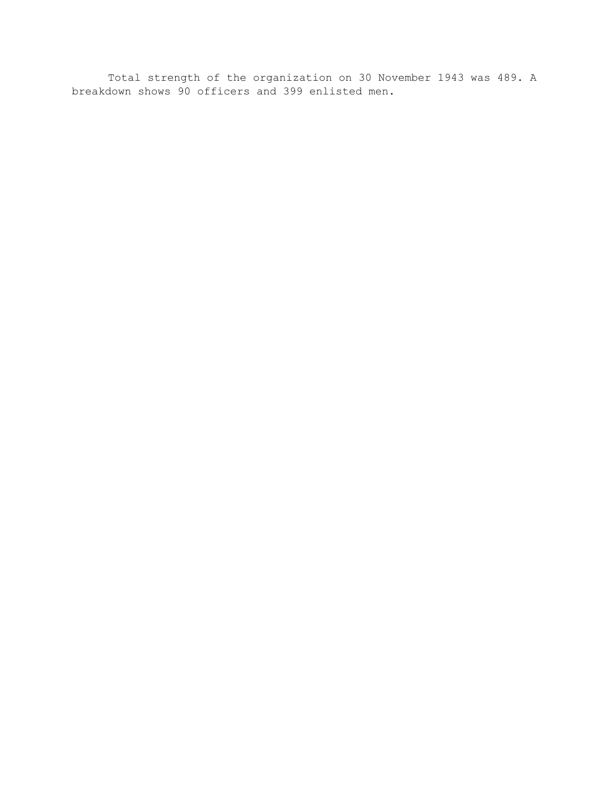Total strength of the organization on 30 November 1943 was 489. A breakdown shows 90 officers and 399 enlisted men.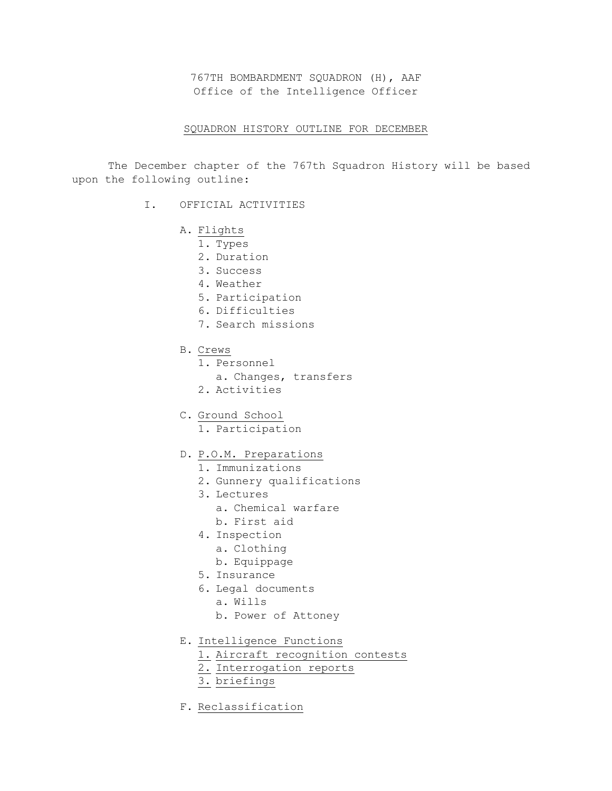767TH BOMBARDMENT SQUADRON (H), AAF Office of the Intelligence Officer

#### SQUADRON HISTORY OUTLINE FOR DECEMBER

The December chapter of the 767th Squadron History will be based upon the following outline:

- I. OFFICIAL ACTIVITIES
	- A. Flights
		- 1. Types
		- 2. Duration
		- 3. Success
		- 4. Weather
		- 5. Participation
		- 6. Difficulties
		- 7. Search missions
	- B. Crews
		- 1. Personnel
			- a. Changes, transfers
		- 2. Activities
	- C. Ground School
		- 1. Participation
	- D. P.O.M. Preparations
		- 1. Immunizations
		- 2. Gunnery qualifications
		- 3. Lectures
			- a. Chemical warfare
			- b. First aid
		- 4. Inspection
			- a. Clothing
			- b. Equippage
		- 5. Insurance
		- 6. Legal documents
			- a. Wills
			- b. Power of Attoney
	- E. Intelligence Functions
		- 1. Aircraft recognition contests
		- 2. Interrogation reports
		- 3. briefings
	- F. Reclassification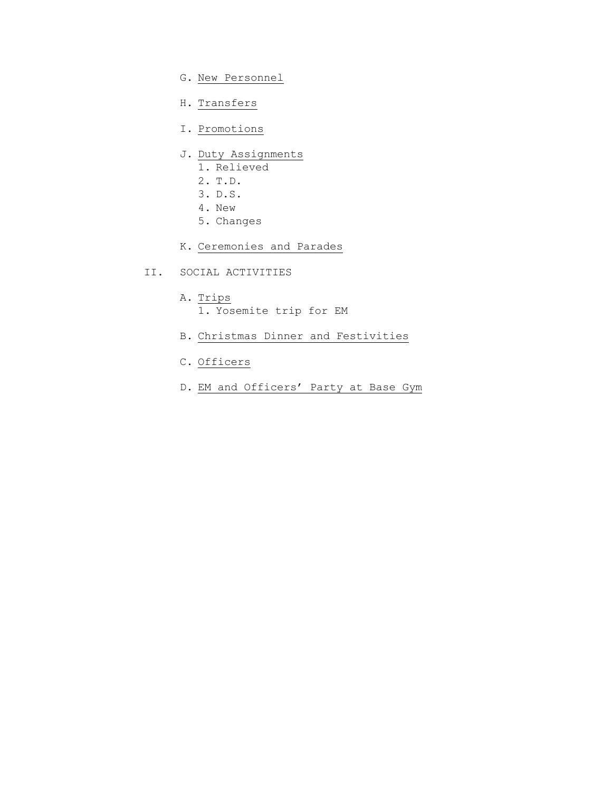- G. New Personnel
- H. Transfers
- I. Promotions
- J. Duty Assignments
	- 1. Relieved
	- 2. T.D.
	- 3. D.S.
	- 4. New
	- 5. Changes
- K. Ceremonies and Parades
- II. SOCIAL ACTIVITIES
	- A. Trips
		- 1. Yosemite trip for EM
	- B. Christmas Dinner and Festivities
	- C. Officers
	- D. EM and Officers' Party at Base Gym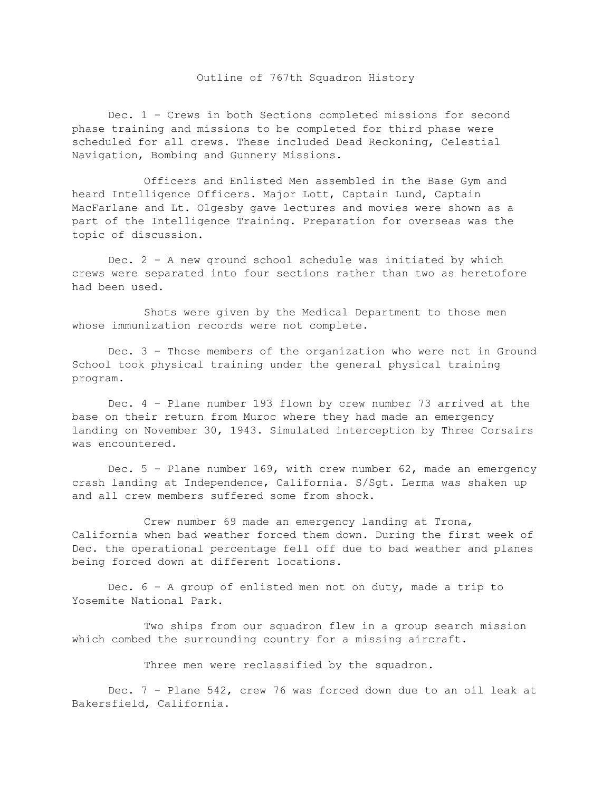#### Outline of 767th Squadron History

Dec. 1 – Crews in both Sections completed missions for second phase training and missions to be completed for third phase were scheduled for all crews. These included Dead Reckoning, Celestial Navigation, Bombing and Gunnery Missions.

Officers and Enlisted Men assembled in the Base Gym and heard Intelligence Officers. Major Lott, Captain Lund, Captain MacFarlane and Lt. Olgesby gave lectures and movies were shown as a part of the Intelligence Training. Preparation for overseas was the topic of discussion.

Dec. 2 – A new ground school schedule was initiated by which crews were separated into four sections rather than two as heretofore had been used.

Shots were given by the Medical Department to those men whose immunization records were not complete.

Dec. 3 – Those members of the organization who were not in Ground School took physical training under the general physical training program.

Dec. 4 – Plane number 193 flown by crew number 73 arrived at the base on their return from Muroc where they had made an emergency landing on November 30, 1943. Simulated interception by Three Corsairs was encountered.

Dec. 5 – Plane number 169, with crew number 62, made an emergency crash landing at Independence, California. S/Sgt. Lerma was shaken up and all crew members suffered some from shock.

Crew number 69 made an emergency landing at Trona, California when bad weather forced them down. During the first week of Dec. the operational percentage fell off due to bad weather and planes being forced down at different locations.

Dec. 6 – A group of enlisted men not on duty, made a trip to Yosemite National Park.

Two ships from our squadron flew in a group search mission which combed the surrounding country for a missing aircraft.

Three men were reclassified by the squadron.

Dec. 7 – Plane 542, crew 76 was forced down due to an oil leak at Bakersfield, California.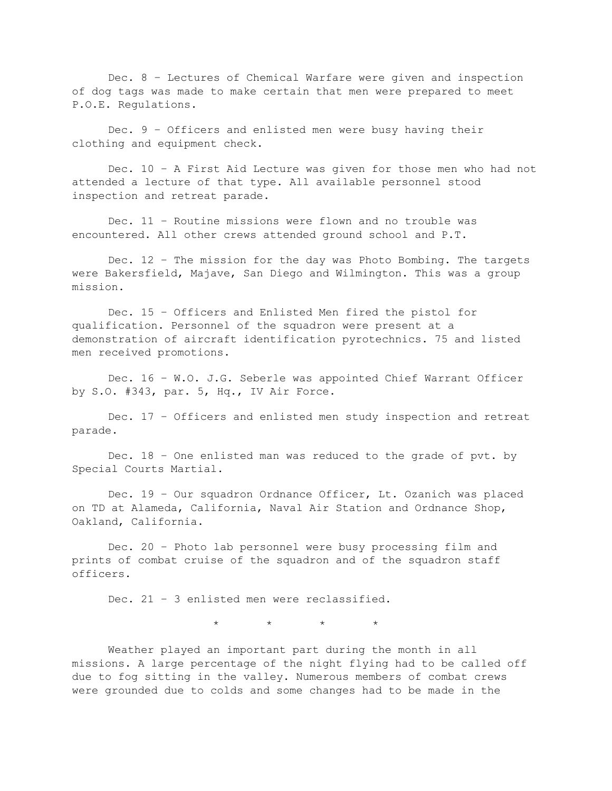Dec. 8 – Lectures of Chemical Warfare were given and inspection of dog tags was made to make certain that men were prepared to meet P.O.E. Regulations.

Dec. 9 – Officers and enlisted men were busy having their clothing and equipment check.

Dec. 10 – A First Aid Lecture was given for those men who had not attended a lecture of that type. All available personnel stood inspection and retreat parade.

Dec. 11 – Routine missions were flown and no trouble was encountered. All other crews attended ground school and P.T.

Dec. 12 – The mission for the day was Photo Bombing. The targets were Bakersfield, Majave, San Diego and Wilmington. This was a group mission.

Dec. 15 – Officers and Enlisted Men fired the pistol for qualification. Personnel of the squadron were present at a demonstration of aircraft identification pyrotechnics. 75 and listed men received promotions.

Dec. 16 – W.O. J.G. Seberle was appointed Chief Warrant Officer by S.O. #343, par. 5, Hq., IV Air Force.

Dec. 17 – Officers and enlisted men study inspection and retreat parade.

Dec. 18 – One enlisted man was reduced to the grade of pvt. by Special Courts Martial.

Dec. 19 – Our squadron Ordnance Officer, Lt. Ozanich was placed on TD at Alameda, California, Naval Air Station and Ordnance Shop, Oakland, California.

Dec. 20 – Photo lab personnel were busy processing film and prints of combat cruise of the squadron and of the squadron staff officers.

Dec. 21 – 3 enlisted men were reclassified.

 $\begin{matrix} \star \hspace{1.6cm} & \star \hspace{1.6cm} & \star \hspace{1.6cm} & \star \hspace{1.6cm} & \star \hspace{1.6cm} & \star \hspace{1.6cm} & \star \hspace{1.6cm} & \star \hspace{1.6cm} & \star \hspace{1.6cm} & \star \hspace{1.6cm} & \star \hspace{1.6cm} & \star \hspace{1.6cm} & \star \hspace{1.4cm} & \star \hspace{1.4cm} & \star \hspace{1.4cm} & \star \hspace{1.4cm} & \star \hspace{1.4cm} & \star \hspace{1.4cm}$ 

Weather played an important part during the month in all missions. A large percentage of the night flying had to be called off due to fog sitting in the valley. Numerous members of combat crews were grounded due to colds and some changes had to be made in the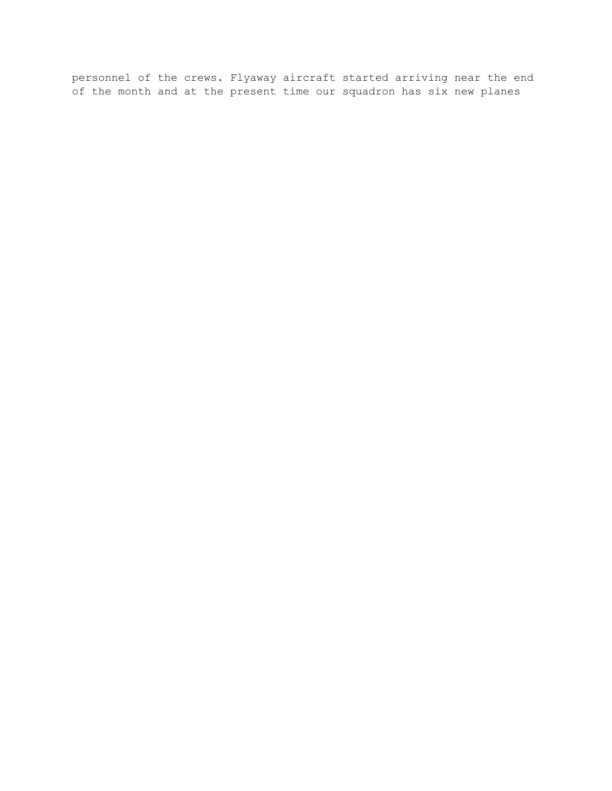personnel of the crews. Flyaway aircraft started arriving near the end of the month and at the present time our squadron has six new planes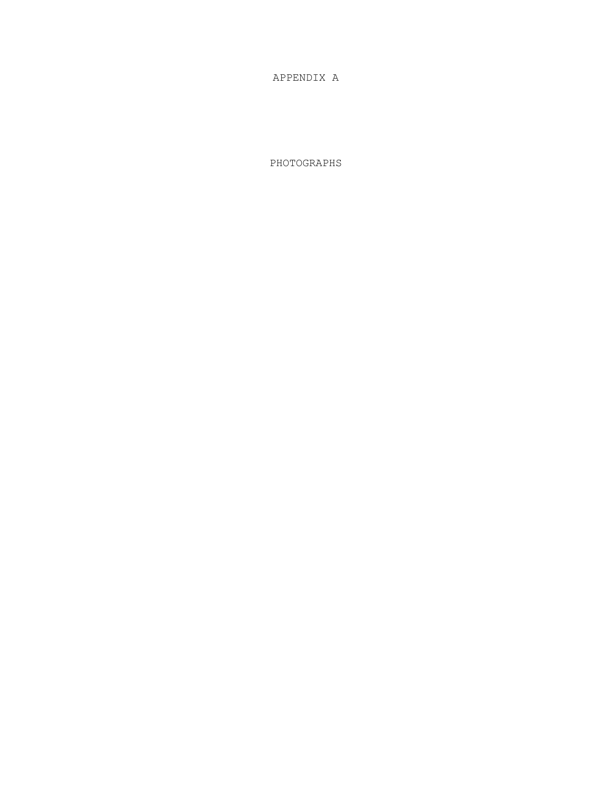APPENDIX A

PHOTOGRAPHS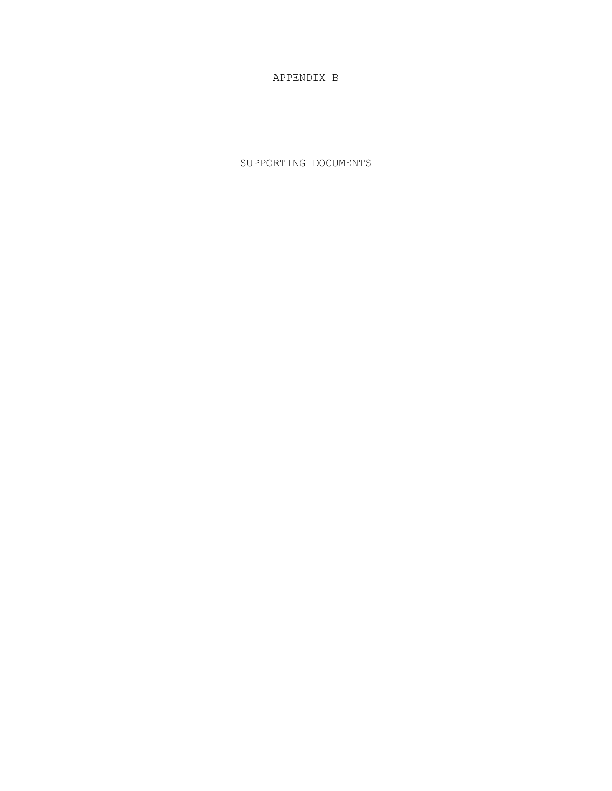# APPENDIX B

SUPPORTING DOCUMENTS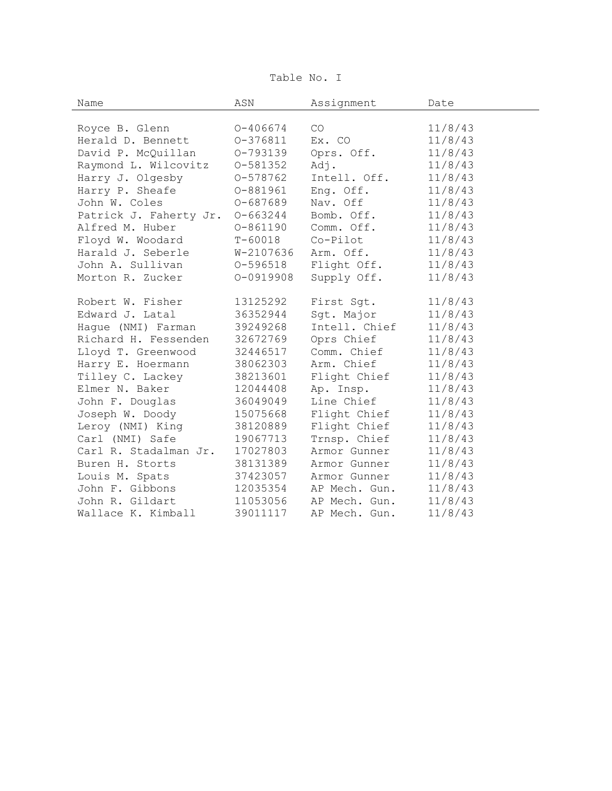Table No. I

| Name                   | ASN          | Assignment    | Date    |
|------------------------|--------------|---------------|---------|
|                        |              |               |         |
| Royce B. Glenn         | 0-406674     | CO            | 11/8/43 |
| Herald D. Bennett      | $0 - 376811$ | Ex. CO        | 11/8/43 |
| David P. McQuillan     | 0-793139     | Oprs. Off.    | 11/8/43 |
| Raymond L. Wilcovitz   | $0 - 581352$ | Adj.          | 11/8/43 |
| Harry J. Olgesby       | 0-578762     | Intell. Off.  | 11/8/43 |
| Harry P. Sheafe        | $0 - 881961$ | Eng. Off.     | 11/8/43 |
| John W. Coles          | 0-687689     | Nav. Off      | 11/8/43 |
| Patrick J. Faherty Jr. | 0-663244     | Bomb. Off.    | 11/8/43 |
| Alfred M. Huber        | $0 - 861190$ | Comm. Off.    | 11/8/43 |
| Floyd W. Woodard       | $T - 60018$  | Co-Pilot      | 11/8/43 |
| Harald J. Seberle      | W-2107636    | Arm. Off.     | 11/8/43 |
| John A. Sullivan       | 0-596518     | Flight Off.   | 11/8/43 |
| Morton R. Zucker       | 0-0919908    | Supply Off.   | 11/8/43 |
|                        |              |               |         |
| Robert W. Fisher       | 13125292     | First Sqt.    | 11/8/43 |
| Edward J. Latal        | 36352944     | Sgt. Major    | 11/8/43 |
| Haque (NMI) Farman     | 39249268     | Intell. Chief | 11/8/43 |
| Richard H. Fessenden   | 32672769     | Oprs Chief    | 11/8/43 |
| Lloyd T. Greenwood     | 32446517     | Comm. Chief   | 11/8/43 |
| Harry E. Hoermann      | 38062303     | Arm. Chief    | 11/8/43 |
| Tilley C. Lackey       | 38213601     | Flight Chief  | 11/8/43 |
| Elmer N. Baker         | 12044408     | Ap. Insp.     | 11/8/43 |
| John F. Douglas        | 36049049     | Line Chief    | 11/8/43 |
| Joseph W. Doody        | 15075668     | Flight Chief  | 11/8/43 |
| Leroy (NMI) King       | 38120889     | Flight Chief  | 11/8/43 |
| Carl (NMI) Safe        | 19067713     | Trnsp. Chief  | 11/8/43 |
| Carl R. Stadalman Jr.  | 17027803     | Armor Gunner  | 11/8/43 |
| Buren H. Storts        | 38131389     | Armor Gunner  | 11/8/43 |
| Louis M. Spats         | 37423057     | Armor Gunner  | 11/8/43 |
| John F. Gibbons        | 12035354     | AP Mech. Gun. | 11/8/43 |
| John R. Gildart        | 11053056     | AP Mech. Gun. | 11/8/43 |
| Wallace K. Kimball     | 39011117     | AP Mech. Gun. | 11/8/43 |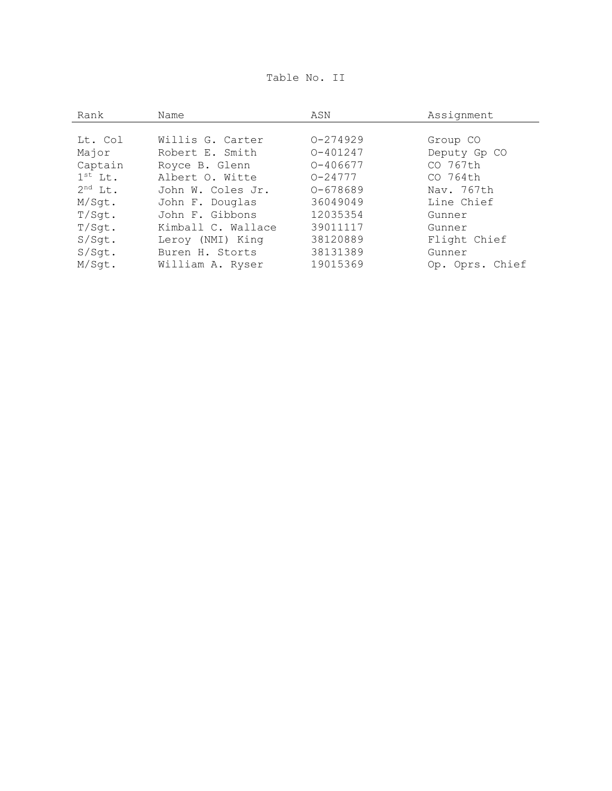| Rank         | Name               | ASN          | Assignment      |
|--------------|--------------------|--------------|-----------------|
|              |                    |              |                 |
| Lt. Col      | Willis G. Carter   | $0 - 274929$ | Group CO        |
| Major        | Robert E. Smith    | $0 - 401247$ | Deputy Gp CO    |
| Captain      | Royce B. Glenn     | $0 - 406677$ | CO 767th        |
| $1^{st}$ Lt. | Albert O. Witte    | $0 - 24777$  | CO 764th        |
| $2^{nd}$ Lt. | John W. Coles Jr.  | $0 - 678689$ | Nav. 767th      |
| M/Sqt.       | John F. Douglas    | 36049049     | Line Chief      |
| T/Sqt.       | John F. Gibbons    | 12035354     | Gunner          |
| T/Sqt.       | Kimball C. Wallace | 39011117     | Gunner          |
| S/Sqt.       | Leroy (NMI) King   | 38120889     | Flight Chief    |
| S/Sqt.       | Buren H. Storts    | 38131389     | Gunner          |
| M/Sqt.       | William A. Ryser   | 19015369     | Op. Oprs. Chief |

# Table No. II